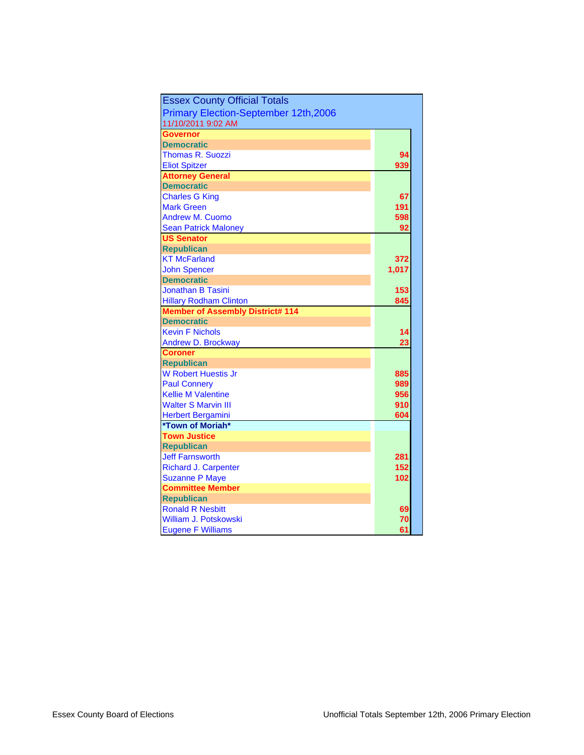| <b>Essex County Official Totals</b>          |       |
|----------------------------------------------|-------|
| <b>Primary Election-September 12th, 2006</b> |       |
| 11/10/2011 9:02 AM                           |       |
| Governor                                     |       |
| <b>Democratic</b>                            |       |
| Thomas R. Suozzi                             | 94    |
| <b>Eliot Spitzer</b>                         | 939   |
| <b>Attorney General</b>                      |       |
| <b>Democratic</b>                            |       |
| <b>Charles G King</b>                        | 67    |
| <b>Mark Green</b>                            | 191   |
| <b>Andrew M. Cuomo</b>                       | 598   |
| <b>Sean Patrick Maloney</b>                  | 92    |
| <b>US Senator</b>                            |       |
| <b>Republican</b>                            |       |
| <b>KT McFarland</b>                          | 372   |
| <b>John Spencer</b>                          | 1,017 |
| <b>Democratic</b>                            |       |
| <b>Jonathan B Tasini</b>                     | 153   |
| <b>Hillary Rodham Clinton</b>                | 845   |
| <b>Member of Assembly District# 114</b>      |       |
| <b>Democratic</b>                            |       |
| <b>Kevin F Nichols</b>                       | 14    |
| <b>Andrew D. Brockway</b>                    | 23    |
| <b>Coroner</b>                               |       |
| <b>Republican</b>                            |       |
| <b>W Robert Huestis Jr</b>                   | 885   |
| <b>Paul Connery</b>                          | 989   |
| <b>Kellie M Valentine</b>                    | 956   |
| <b>Walter S Marvin III</b>                   | 910   |
| <b>Herbert Bergamini</b>                     | 604   |
| *Town of Moriah*                             |       |
| <b>Town Justice</b>                          |       |
| <b>Republican</b>                            |       |
| <b>Jeff Farnsworth</b>                       | 281   |
| <b>Richard J. Carpenter</b>                  | 152   |
| <b>Suzanne P Maye</b>                        | 102   |
| <b>Committee Member</b>                      |       |
| <b>Republican</b>                            |       |
| <b>Ronald R Nesbitt</b>                      | 69    |
| William J. Potskowski                        | 70    |
| <b>Eugene F Williams</b>                     | 61    |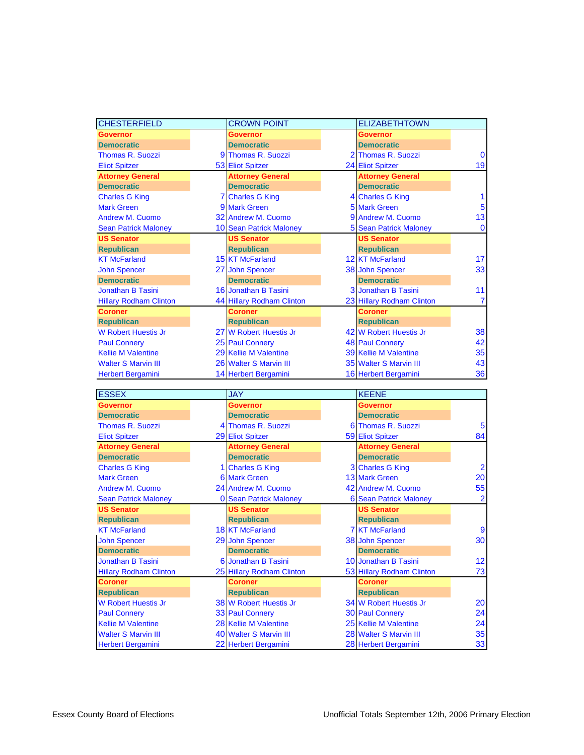| <b>CHESTERFIELD</b>           | <b>CROWN POINT</b>        | <b>ELIZABETHTOWN</b>          |                |
|-------------------------------|---------------------------|-------------------------------|----------------|
| <b>Governor</b>               | <b>Governor</b>           | <b>Governor</b>               |                |
| <b>Democratic</b>             | <b>Democratic</b>         | <b>Democratic</b>             |                |
| <b>Thomas R. Suozzi</b>       | 9 Thomas R. Suozzi        | 2 Thomas R. Suozzi            | $\Omega$       |
| <b>Eliot Spitzer</b>          | 53 Eliot Spitzer          | 24 Eliot Spitzer              | 19             |
| <b>Attorney General</b>       | <b>Attorney General</b>   | <b>Attorney General</b>       |                |
| <b>Democratic</b>             | <b>Democratic</b>         | <b>Democratic</b>             |                |
| <b>Charles G King</b>         | <b>7 Charles G King</b>   | 4 Charles G King              |                |
| <b>Mark Green</b>             | 9 Mark Green              | <b>5 Mark Green</b>           | 5              |
| <b>Andrew M. Cuomo</b>        | 32 Andrew M. Cuomo        | 9 Andrew M. Cuomo             | 13             |
| <b>Sean Patrick Maloney</b>   | 10 Sean Patrick Maloney   | <b>5 Sean Patrick Maloney</b> | $\mathbf{0}$   |
| <b>US Senator</b>             | <b>US Senator</b>         | <b>US Senator</b>             |                |
| <b>Republican</b>             | <b>Republican</b>         | <b>Republican</b>             |                |
| <b>KT McFarland</b>           | <b>15 KT McFarland</b>    | <b>12 KT McFarland</b>        | 17             |
| <b>John Spencer</b>           | 27 John Spencer           | 38 John Spencer               | 33             |
| <b>Democratic</b>             | <b>Democratic</b>         | <b>Democratic</b>             |                |
| <b>Jonathan B Tasini</b>      | 16 Jonathan B Tasini      | 3 Jonathan B Tasini           | 11             |
| <b>Hillary Rodham Clinton</b> | 44 Hillary Rodham Clinton | 23 Hillary Rodham Clinton     | $\overline{7}$ |
| <b>Coroner</b>                | <b>Coroner</b>            | <b>Coroner</b>                |                |
| <b>Republican</b>             | <b>Republican</b>         | <b>Republican</b>             |                |
| <b>W Robert Huestis Jr</b>    | 27 W Robert Huestis Jr    | 42 W Robert Huestis Jr        | 38             |
| <b>Paul Connery</b>           | 25 Paul Connery           | <b>48 Paul Connery</b>        | 42             |
| <b>Kellie M Valentine</b>     | 29 Kellie M Valentine     | <b>39 Kellie M Valentine</b>  | 35             |
| <b>Walter S Marvin III</b>    | 26 Walter S Marvin III    | 35 Walter S Marvin III        | 43             |
| <b>Herbert Bergamini</b>      | 14 Herbert Bergamini      | 16 Herbert Bergamini          | 36             |

| <b>ESSEX</b>                  | <b>JAY</b>                    | <b>KEENE</b>                  |                         |
|-------------------------------|-------------------------------|-------------------------------|-------------------------|
| <b>Governor</b>               | <b>Governor</b>               | <b>Governor</b>               |                         |
| <b>Democratic</b>             | <b>Democratic</b>             | <b>Democratic</b>             |                         |
| <b>Thomas R. Suozzi</b>       | 4 Thomas R. Suozzi            | 6 Thomas R. Suozzi            | 5                       |
| <b>Eliot Spitzer</b>          | 29 Eliot Spitzer              | 59 Eliot Spitzer              | 84                      |
| <b>Attorney General</b>       | <b>Attorney General</b>       | <b>Attorney General</b>       |                         |
| <b>Democratic</b>             | <b>Democratic</b>             | <b>Democratic</b>             |                         |
| <b>Charles G King</b>         | 1 Charles G King              | 3 Charles G King              | $\overline{\mathbf{2}}$ |
| <b>Mark Green</b>             | <b>6 Mark Green</b>           | <b>13 Mark Green</b>          | 20 <sub>l</sub>         |
| <b>Andrew M. Cuomo</b>        | 24 Andrew M. Cuomo            | 42 Andrew M. Cuomo            | 55                      |
| <b>Sean Patrick Maloney</b>   | <b>0</b> Sean Patrick Maloney | <b>6 Sean Patrick Maloney</b> | $\overline{2}$          |
| <b>US Senator</b>             | <b>US Senator</b>             | <b>US Senator</b>             |                         |
| <b>Republican</b>             | <b>Republican</b>             | <b>Republican</b>             |                         |
| <b>KT McFarland</b>           | <b>18 KT McFarland</b>        | <b>7 KT McFarland</b>         | 9                       |
| <b>John Spencer</b>           | 29 John Spencer               | 38 John Spencer               | 30                      |
| <b>Democratic</b>             | <b>Democratic</b>             | <b>Democratic</b>             |                         |
| <b>Jonathan B Tasini</b>      | 6 Jonathan B Tasini           | 10 Jonathan B Tasini          | 12 <sub>2</sub>         |
| <b>Hillary Rodham Clinton</b> | 25 Hillary Rodham Clinton     | 53 Hillary Rodham Clinton     | 73                      |
| <b>Coroner</b>                | <b>Coroner</b>                | <b>Coroner</b>                |                         |
| <b>Republican</b>             | <b>Republican</b>             | <b>Republican</b>             |                         |
| <b>W Robert Huestis Jr</b>    | 38 W Robert Huestis Jr        | 34 W Robert Huestis Jr        | 20 <sub>l</sub>         |
| <b>Paul Connery</b>           | <b>33 Paul Connery</b>        | <b>30 Paul Connery</b>        | 24 <sub>1</sub>         |
| <b>Kellie M Valentine</b>     | 28 Kellie M Valentine         | 25 Kellie M Valentine         | 24                      |
| <b>Walter S Marvin III</b>    | <b>40 Walter S Marvin III</b> | 28 Walter S Marvin III        | 35                      |
| <b>Herbert Bergamini</b>      | 22 Herbert Bergamini          | 28 Herbert Bergamini          | 33                      |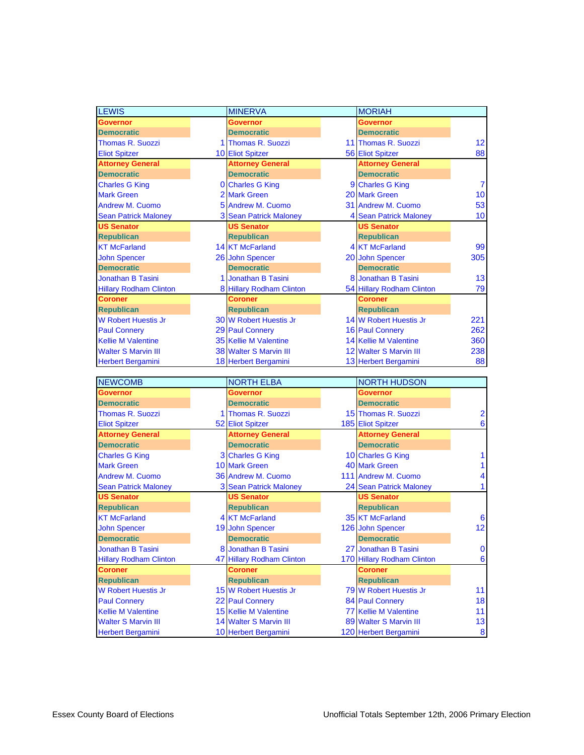| <b>LEWIS</b>                                           |   | <b>MINERVA</b>                                 | <b>MORIAH</b>                                   |                              |
|--------------------------------------------------------|---|------------------------------------------------|-------------------------------------------------|------------------------------|
| <b>Governor</b>                                        |   | <b>Governor</b>                                | <b>Governor</b>                                 |                              |
| <b>Democratic</b>                                      |   | <b>Democratic</b>                              | <b>Democratic</b>                               |                              |
| Thomas R. Suozzi                                       |   | 1 Thomas R. Suozzi                             | 11 Thomas R. Suozzi                             | 12                           |
| <b>Eliot Spitzer</b>                                   |   | 10 Eliot Spitzer                               | <b>56 Eliot Spitzer</b>                         | 88                           |
| <b>Attorney General</b>                                |   | <b>Attorney General</b>                        | <b>Attorney General</b>                         |                              |
| <b>Democratic</b>                                      |   | <b>Democratic</b>                              | <b>Democratic</b>                               |                              |
| <b>Charles G King</b>                                  |   | <b>0</b> Charles G King                        | 9 Charles G King                                | 7                            |
| <b>Mark Green</b>                                      |   | 2 Mark Green                                   | 20 Mark Green                                   | 10                           |
| Andrew M. Cuomo                                        |   | 5 Andrew M. Cuomo                              | 31 Andrew M. Cuomo                              | 53                           |
| <b>Sean Patrick Maloney</b>                            |   | 3 Sean Patrick Maloney                         | 4 Sean Patrick Maloney                          | 10                           |
| <b>US Senator</b>                                      |   | <b>US Senator</b>                              | <b>US Senator</b>                               |                              |
| <b>Republican</b>                                      |   | <b>Republican</b>                              | <b>Republican</b>                               |                              |
| <b>KT McFarland</b>                                    |   | 14 KT McFarland                                | <b>4 KT McFarland</b>                           | 99                           |
| <b>John Spencer</b>                                    |   | 26 John Spencer                                | 20 John Spencer                                 | 305                          |
| <b>Democratic</b>                                      |   | <b>Democratic</b>                              | <b>Democratic</b>                               |                              |
| <b>Jonathan B Tasini</b>                               |   | <b>Jonathan B Tasini</b>                       | 8 Jonathan B Tasini                             | 13                           |
| <b>Hillary Rodham Clinton</b>                          |   | 8 Hillary Rodham Clinton                       | 54 Hillary Rodham Clinton                       | 79                           |
| <b>Coroner</b>                                         |   | <b>Coroner</b>                                 | Coroner                                         |                              |
| <b>Republican</b>                                      |   | <b>Republican</b>                              | <b>Republican</b>                               |                              |
| <b>W Robert Huestis Jr</b>                             |   | 30 W Robert Huestis Jr                         | 14 W Robert Huestis Jr                          | 221                          |
| <b>Paul Connery</b>                                    |   | 29 Paul Connery                                | <b>16 Paul Connery</b>                          | 262                          |
| <b>Kellie M Valentine</b>                              |   | 35 Kellie M Valentine                          | 14 Kellie M Valentine                           | 360                          |
| <b>Walter S Marvin III</b>                             |   | <b>38 Walter S Marvin III</b>                  | 12 Walter S Marvin III                          | 238                          |
| <b>Herbert Bergamini</b>                               |   | 18 Herbert Bergamini                           | 13 Herbert Bergamini                            | 88                           |
|                                                        |   |                                                |                                                 |                              |
|                                                        |   |                                                |                                                 |                              |
| <b>NEWCOMB</b>                                         |   | <b>NORTH ELBA</b>                              | <b>NORTH HUDSON</b>                             |                              |
| <b>Governor</b>                                        |   | <b>Governor</b>                                | <b>Governor</b>                                 |                              |
| <b>Democratic</b>                                      |   | <b>Democratic</b>                              | <b>Democratic</b>                               |                              |
| <b>Thomas R. Suozzi</b>                                |   | 1 Thomas R. Suozzi                             | 15 Thomas R. Suozzi                             |                              |
| <b>Eliot Spitzer</b>                                   |   | 52 Eliot Spitzer                               | <b>185 Eliot Spitzer</b>                        | 6                            |
| <b>Attorney General</b>                                |   | <b>Attorney General</b>                        | <b>Attorney General</b>                         |                              |
| <b>Democratic</b>                                      |   | <b>Democratic</b>                              | <b>Democratic</b>                               |                              |
| <b>Charles G King</b>                                  |   | 3 Charles G King                               | 10 Charles G King                               |                              |
| <b>Mark Green</b>                                      |   | <b>10 Mark Green</b>                           | 40 Mark Green                                   |                              |
| <b>Andrew M. Cuomo</b>                                 |   | 36 Andrew M. Cuomo                             | 111 Andrew M. Cuomo                             |                              |
| <b>Sean Patrick Maloney</b>                            | 3 | <b>Sean Patrick Maloney</b>                    | <b>24 Sean Patrick Maloney</b>                  |                              |
| <b>US Senator</b>                                      |   | <b>US Senator</b>                              | <b>US Senator</b>                               |                              |
| <b>Republican</b>                                      |   | <b>Republican</b>                              | <b>Republican</b>                               |                              |
| <b>KT McFarland</b>                                    |   | 4 KT McFarland                                 | 35 KT McFarland                                 | 6                            |
| <b>John Spencer</b>                                    |   | 19 John Spencer                                | 126 John Spencer                                |                              |
| <b>Democratic</b>                                      |   | <b>Democratic</b>                              | <b>Democratic</b>                               |                              |
| Jonathan B Tasini                                      |   | 8 Jonathan B Tasini                            | 27 Jonathan B Tasini                            |                              |
| <b>Hillary Rodham Clinton</b>                          |   | 47 Hillary Rodham Clinton                      | 170 Hillary Rodham Clinton                      |                              |
| <b>Coroner</b>                                         |   | <b>Coroner</b>                                 | <b>Coroner</b>                                  |                              |
| <b>Republican</b>                                      |   | <b>Republican</b>                              | <b>Republican</b>                               |                              |
| <b>W Robert Huestis Jr</b>                             |   | 15 W Robert Huestis Jr                         | 79 W Robert Huestis Jr                          | 12<br>$\mathbf 0$<br>6<br>11 |
| <b>Paul Connery</b>                                    |   | 22 Paul Connery                                | 84 Paul Connery                                 |                              |
| <b>Kellie M Valentine</b>                              |   | 15 Kellie M Valentine                          | 77 Kellie M Valentine                           | 11                           |
| <b>Walter S Marvin III</b><br><b>Herbert Bergamini</b> |   | 14 Walter S Marvin III<br>10 Herbert Bergamini | 89 Walter S Marvin III<br>120 Herbert Bergamini | 18<br>13<br>$\pmb{8}$        |